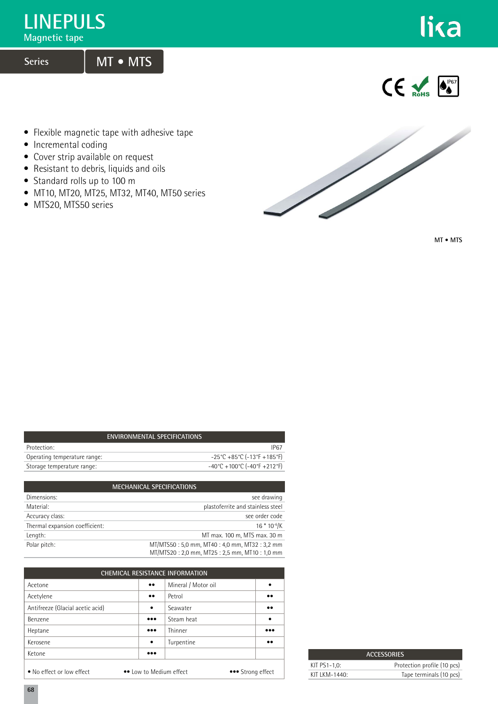## **LINEPULS**

**Magnetic tape**

## **Series MT • MTS**



 $\epsilon$ 

- Flexible magnetic tape with adhesive tape
- Incremental coding
- Cover strip available on request
- Resistant to debris, liquids and oils
- Standard rolls up to 100 m
- MT10, MT20, MT25, MT32, MT40, MT50 series
- MTS20, MTS50 series



**MT • MTS**

| ENVIRONMENTAL SPECIFICATIONS |                                                                          |  |  |  |  |
|------------------------------|--------------------------------------------------------------------------|--|--|--|--|
| Protection:                  | IP67                                                                     |  |  |  |  |
| Operating temperature range: | $-25^{\circ}$ C +85 $^{\circ}$ C (-13 $^{\circ}$ F +185 $^{\circ}$ F)    |  |  |  |  |
| Storage temperature range:   | $-40^{\circ}$ C + 100 $^{\circ}$ C (-40 $^{\circ}$ F + 212 $^{\circ}$ F) |  |  |  |  |
|                              |                                                                          |  |  |  |  |

| <b>MECHANICAL SPECIFICATIONS</b> |                                                                                              |  |  |  |  |
|----------------------------------|----------------------------------------------------------------------------------------------|--|--|--|--|
| Dimensions:                      | see drawing                                                                                  |  |  |  |  |
| Material:                        | plastoferrite and stainless steel                                                            |  |  |  |  |
| Accuracy class:                  | see order code                                                                               |  |  |  |  |
| Thermal expansion coefficient:   | $16*10^{-6}$ /K                                                                              |  |  |  |  |
| Length:                          | MT max. 100 m, MTS max. 30 m                                                                 |  |  |  |  |
| Polar pitch:                     | MT/MTS50: 5,0 mm, MT40: 4,0 mm, MT32: 3,2 mm<br>MT/MTS20: 2,0 mm, MT25: 2,5 mm, MT10: 1,0 mm |  |  |  |  |

| <b>CHEMICAL RESISTANCE INFORMATION</b>                                    |                         |                     |                  |  |  |  |
|---------------------------------------------------------------------------|-------------------------|---------------------|------------------|--|--|--|
| Acetone                                                                   | $\bullet\bullet$        | Mineral / Motor oil | ٠                |  |  |  |
| Acetylene                                                                 | $\bullet\bullet$        | Petrol              | $\bullet\bullet$ |  |  |  |
| Antifreeze (Glacial acetic acid)                                          | $\bullet$               | Seawater            | $\bullet\bullet$ |  |  |  |
| Benzene                                                                   | $\bullet\bullet\bullet$ | Steam heat          | $\bullet$        |  |  |  |
| Heptane                                                                   | $\bullet\bullet\bullet$ | Thinner             |                  |  |  |  |
| Kerosene                                                                  | $\bullet$               | Turpentine          | $\bullet\bullet$ |  |  |  |
| Ketone                                                                    | $\bullet\bullet\bullet$ |                     |                  |  |  |  |
| • No effect or low effect<br>•• Low to Medium effect<br>••• Strong effect |                         |                     |                  |  |  |  |

| <b>ACCESSORIES</b>          |                             |  |  |  |
|-----------------------------|-----------------------------|--|--|--|
| KIT PS1-1.0:                | Protection profile (10 pcs) |  |  |  |
| KIT $K$ M-1440 <sup>-</sup> | Tape terminals (10 pcs)     |  |  |  |